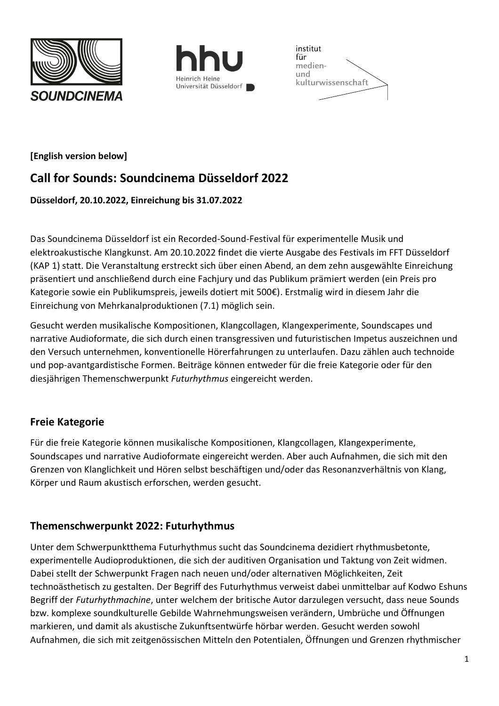





### **[English version below]**

## **Call for Sounds: Soundcinema Düsseldorf 2022**

### **Düsseldorf, 20.10.2022, Einreichung bis 31.07.2022**

Das Soundcinema Düsseldorf ist ein Recorded-Sound-Festival für experimentelle Musik und elektroakustische Klangkunst. Am 20.10.2022 findet die vierte Ausgabe des Festivals im FFT Düsseldorf (KAP 1) statt. Die Veranstaltung erstreckt sich über einen Abend, an dem zehn ausgewählte Einreichung präsentiert und anschließend durch eine Fachjury und das Publikum prämiert werden (ein Preis pro Kategorie sowie ein Publikumspreis, jeweils dotiert mit 500€). Erstmalig wird in diesem Jahr die Einreichung von Mehrkanalproduktionen (7.1) möglich sein.

Gesucht werden musikalische Kompositionen, Klangcollagen, Klangexperimente, Soundscapes und narrative Audioformate, die sich durch einen transgressiven und futuristischen Impetus auszeichnen und den Versuch unternehmen, konventionelle Hörerfahrungen zu unterlaufen. Dazu zählen auch technoide und pop-avantgardistische Formen. Beiträge können entweder für die freie Kategorie oder für den diesjährigen Themenschwerpunkt *Futurhythmus* eingereicht werden.

## **Freie Kategorie**

Für die freie Kategorie können musikalische Kompositionen, Klangcollagen, Klangexperimente, Soundscapes und narrative Audioformate eingereicht werden. Aber auch Aufnahmen, die sich mit den Grenzen von Klanglichkeit und Hören selbst beschäftigen und/oder das Resonanzverhältnis von Klang, Körper und Raum akustisch erforschen, werden gesucht.

## **Themenschwerpunkt 2022: Futurhythmus**

Unter dem Schwerpunktthema Futurhythmus sucht das Soundcinema dezidiert rhythmusbetonte, experimentelle Audioproduktionen, die sich der auditiven Organisation und Taktung von Zeit widmen. Dabei stellt der Schwerpunkt Fragen nach neuen und/oder alternativen Möglichkeiten, Zeit technoästhetisch zu gestalten. Der Begriff des Futurhythmus verweist dabei unmittelbar auf Kodwo Eshuns Begriff der *Futurhythmachine*, unter welchem der britische Autor darzulegen versucht, dass neue Sounds bzw. komplexe soundkulturelle Gebilde Wahrnehmungsweisen verändern, Umbrüche und Öffnungen markieren, und damit als akustische Zukunftsentwürfe hörbar werden. Gesucht werden sowohl Aufnahmen, die sich mit zeitgenössischen Mitteln den Potentialen, Öffnungen und Grenzen rhythmischer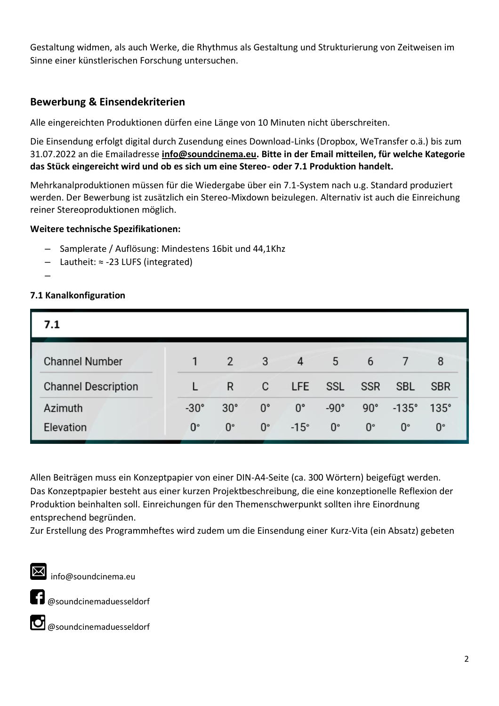Gestaltung widmen, als auch Werke, die Rhythmus als Gestaltung und Strukturierung von Zeitweisen im Sinne einer künstlerischen Forschung untersuchen.

## **Bewerbung & Einsendekriterien**

Alle eingereichten Produktionen dürfen eine Länge von 10 Minuten nicht überschreiten.

Die Einsendung erfolgt digital durch Zusendung eines Download-Links (Dropbox, WeTransfer o.ä.) bis zum 31.07.2022 an die Emailadresse **[info@soundcinema.eu.](mailto:info@soundcinema.eu) Bitte in der Email mitteilen, für welche Kategorie das Stück eingereicht wird und ob es sich um eine Stereo- oder 7.1 Produktion handelt.**

Mehrkanalproduktionen müssen für die Wiedergabe über ein 7.1-System nach u.g. Standard produziert werden. Der Bewerbung ist zusätzlich ein Stereo-Mixdown beizulegen. Alternativ ist auch die Einreichung reiner Stereoproduktionen möglich.

### **Weitere technische Spezifikationen:**

- Samplerate / Auflösung: Mindestens 16bit und 44,1Khz
- Lautheit: ≈ -23 LUFS (integrated)
- –

## **7.1 Kanalkonfiguration**

| 7.1                        |             |                |             |                |             |             |              |             |
|----------------------------|-------------|----------------|-------------|----------------|-------------|-------------|--------------|-------------|
| <b>Channel Number</b>      |             | $\overline{2}$ | 3           | $\overline{4}$ | 5           | 6           |              | 8           |
| <b>Channel Description</b> |             | R              | C           | LFE            | SSL         | <b>SSR</b>  | <b>SBL</b>   | <b>SBR</b>  |
| Azimuth                    | $-30^\circ$ | $30^\circ$     | $0^{\circ}$ | $0^{\circ}$    | $-90^\circ$ | $90^\circ$  | $-135^\circ$ | $135^\circ$ |
| Elevation                  | $0^{\circ}$ | $0^{\circ}$    | $0^{\circ}$ | $-15^\circ$    | $0^{\circ}$ | $0^{\circ}$ | $0^{\circ}$  | $0^{\circ}$ |

Allen Beiträgen muss ein Konzeptpapier von einer DIN-A4-Seite (ca. 300 Wörtern) beigefügt werden. Das Konzeptpapier besteht aus einer kurzen Projektbeschreibung, die eine konzeptionelle Reflexion der Produktion beinhalten soll. Einreichungen für den Themenschwerpunkt sollten ihre Einordnung entsprechend begründen.

Zur Erstellung des Programmheftes wird zudem um die Einsendung einer Kurz-Vita (ein Absatz) gebeten

 $\sum$  info@soundcinema.eu

**1** @soundcinemaduesseldorf



@soundcinemaduesseldorf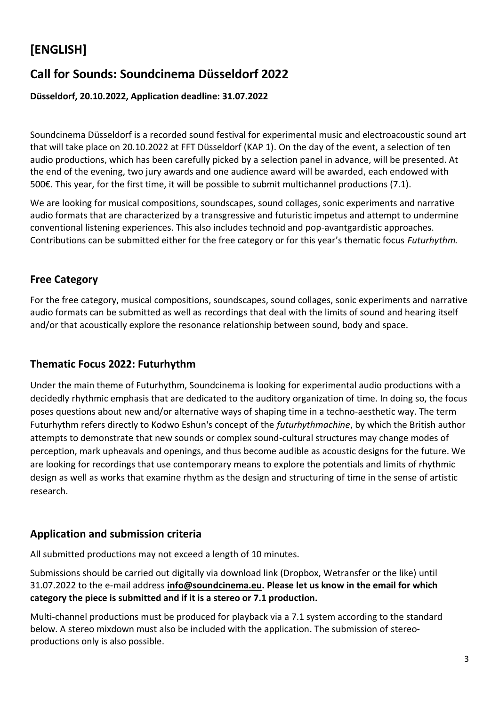# **[ENGLISH]**

## **Call for Sounds: Soundcinema Düsseldorf 2022**

### **Düsseldorf, 20.10.2022, Application deadline: 31.07.2022**

Soundcinema Düsseldorf is a recorded sound festival for experimental music and electroacoustic sound art that will take place on 20.10.2022 at FFT Düsseldorf (KAP 1). On the day of the event, a selection of ten audio productions, which has been carefully picked by a selection panel in advance, will be presented. At the end of the evening, two jury awards and one audience award will be awarded, each endowed with 500€. This year, for the first time, it will be possible to submit multichannel productions (7.1).

We are looking for musical compositions, soundscapes, sound collages, sonic experiments and narrative audio formats that are characterized by a transgressive and futuristic impetus and attempt to undermine conventional listening experiences. This also includes technoid and pop-avantgardistic approaches. Contributions can be submitted either for the free category or for this year's thematic focus *Futurhythm.*

## **Free Category**

For the free category, musical compositions, soundscapes, sound collages, sonic experiments and narrative audio formats can be submitted as well as recordings that deal with the limits of sound and hearing itself and/or that acoustically explore the resonance relationship between sound, body and space.

## **Thematic Focus 2022: Futurhythm**

Under the main theme of Futurhythm, Soundcinema is looking for experimental audio productions with a decidedly rhythmic emphasis that are dedicated to the auditory organization of time. In doing so, the focus poses questions about new and/or alternative ways of shaping time in a techno-aesthetic way. The term Futurhythm refers directly to Kodwo Eshun's concept of the *futurhythmachine*, by which the British author attempts to demonstrate that new sounds or complex sound-cultural structures may change modes of perception, mark upheavals and openings, and thus become audible as acoustic designs for the future. We are looking for recordings that use contemporary means to explore the potentials and limits of rhythmic design as well as works that examine rhythm as the design and structuring of time in the sense of artistic research.

## **Application and submission criteria**

All submitted productions may not exceed a length of 10 minutes.

Submissions should be carried out digitally via download link (Dropbox, Wetransfer or the like) until 31.07.2022 to the e-mail address **[info@soundcinema.eu.](mailto:info@soundcinema.eu) Please let us know in the email for which category the piece is submitted and if it is a stereo or 7.1 production.**

Multi-channel productions must be produced for playback via a 7.1 system according to the standard below. A stereo mixdown must also be included with the application. The submission of stereoproductions only is also possible.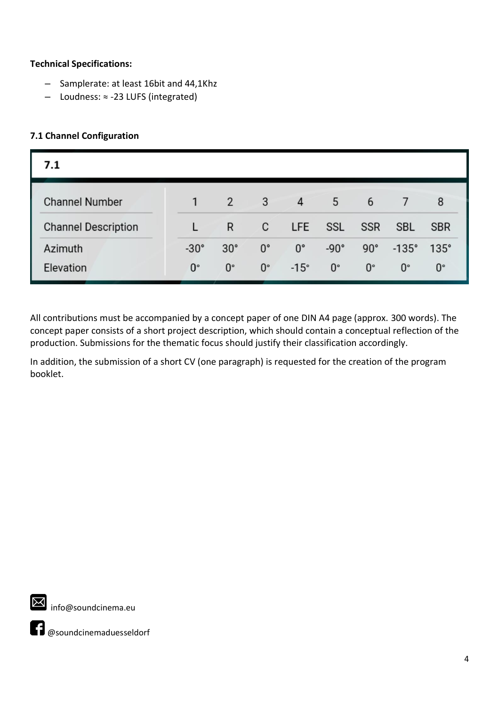### **Technical Specifications:**

- Samplerate: at least 16bit and 44,1Khz
- Loudness: ≈ -23 LUFS (integrated)

### **7.1 Channel Configuration**

| 7.1                        |             |                |             |                |             |              |              |             |
|----------------------------|-------------|----------------|-------------|----------------|-------------|--------------|--------------|-------------|
| <b>Channel Number</b>      |             | $\overline{2}$ | 3           | $\overline{4}$ | 5           | 6            |              | 8           |
| <b>Channel Description</b> |             | R              | C           | LFE            | <b>SSL</b>  | <b>SSR</b>   | <b>SBL</b>   | <b>SBR</b>  |
| Azimuth                    | $-30^\circ$ | $30^\circ$     | $0^{\circ}$ | $0^{\circ}$    | $-90^\circ$ | $90^{\circ}$ | $-135^\circ$ | $135^\circ$ |
| Elevation                  | $0^{\circ}$ | $0^{\circ}$    | $0^{\circ}$ | $-15^\circ$    | $0^{\circ}$ | $0^{\circ}$  | $0^{\circ}$  | $0^{\circ}$ |

All contributions must be accompanied by a concept paper of one DIN A4 page (approx. 300 words). The concept paper consists of a short project description, which should contain a conceptual reflection of the production. Submissions for the thematic focus should justify their classification accordingly.

In addition, the submission of a short CV (one paragraph) is requested for the creation of the program booklet.